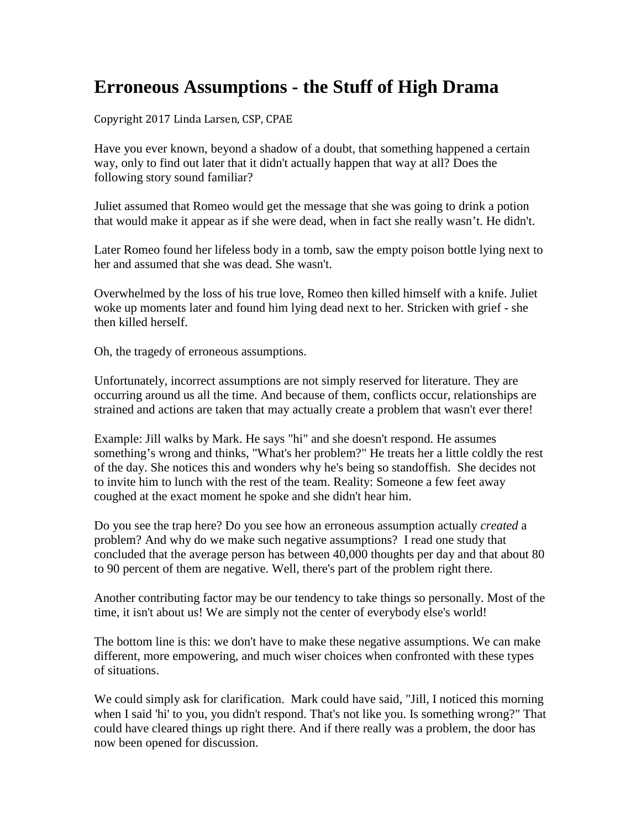## **Erroneous Assumptions - the Stuff of High Drama**

Copyright 2017 Linda Larsen, CSP, CPAE

Have you ever known, beyond a shadow of a doubt, that something happened a certain way, only to find out later that it didn't actually happen that way at all? Does the following story sound familiar?

Juliet assumed that Romeo would get the message that she was going to drink a potion that would make it appear as if she were dead, when in fact she really wasn't. He didn't.

Later Romeo found her lifeless body in a tomb, saw the empty poison bottle lying next to her and assumed that she was dead. She wasn't.

Overwhelmed by the loss of his true love, Romeo then killed himself with a knife. Juliet woke up moments later and found him lying dead next to her. Stricken with grief - she then killed herself.

Oh, the tragedy of erroneous assumptions.

Unfortunately, incorrect assumptions are not simply reserved for literature. They are occurring around us all the time. And because of them, conflicts occur, relationships are strained and actions are taken that may actually create a problem that wasn't ever there!

Example: Jill walks by Mark. He says "hi" and she doesn't respond. He assumes something's wrong and thinks, "What's her problem?" He treats her a little coldly the rest of the day. She notices this and wonders why he's being so standoffish. She decides not to invite him to lunch with the rest of the team. Reality: Someone a few feet away coughed at the exact moment he spoke and she didn't hear him.

Do you see the trap here? Do you see how an erroneous assumption actually *created* a problem? And why do we make such negative assumptions? I read one study that concluded that the average person has between 40,000 thoughts per day and that about 80 to 90 percent of them are negative. Well, there's part of the problem right there.

Another contributing factor may be our tendency to take things so personally. Most of the time, it isn't about us! We are simply not the center of everybody else's world!

The bottom line is this: we don't have to make these negative assumptions. We can make different, more empowering, and much wiser choices when confronted with these types of situations.

We could simply ask for clarification. Mark could have said, "Jill, I noticed this morning when I said 'hi' to you, you didn't respond. That's not like you. Is something wrong?" That could have cleared things up right there. And if there really was a problem, the door has now been opened for discussion.